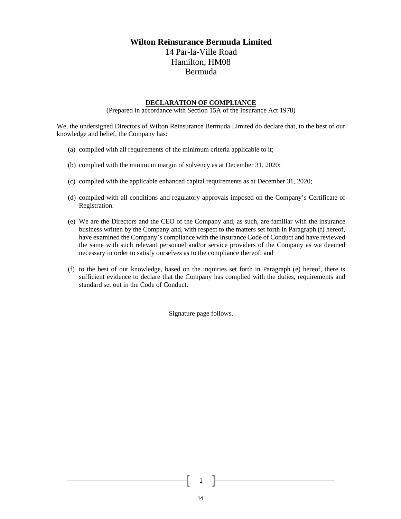## **Wilton Reinsurance Bermuda Limited**

14 Par-la-Ville Road Hamilton, HM08 Bermuda

## **DECLARATION OF COMPLIANCE**

(Prepared in accordance with Section 15A of the Insurance Act 1978)

We, the undersigned Directors of Wilton Reinsurance Bermuda Limited do declare that, to the best of our knowledge and belief, the Company has:

- (a) complied with all requirements of the minimum criteria applicable to it;
- (b) complied with the minimum margin of solvency as at December 31, 2020;
- (c) complied with the applicable enhanced capital requirements as at December 31, 2020;
- (d) complied with all conditions and regulatory approvals imposed on the Company's Certificate of Registration.
- (e) We are the Directors and the CEO of the Company and, as such, are familiar with the insurance business written by the Company and, with respect to the matters set forth in Paragraph (f) hereof, have examined the Company's compliance with the Insurance Code of Conduct and have reviewed the same with such relevant personnel and/or service providers of the Company as we deemed necessary in order to satisfy ourselves as to the compliance thereof; and
- (f) to the best of our knowledge, based on the inquiries set forth in Paragraph (e) hereof, there is sufficient evidence to declare that the Company has complied with the duties, requirements and standard set out in the Code of Conduct.

Signature page follows.

14

1